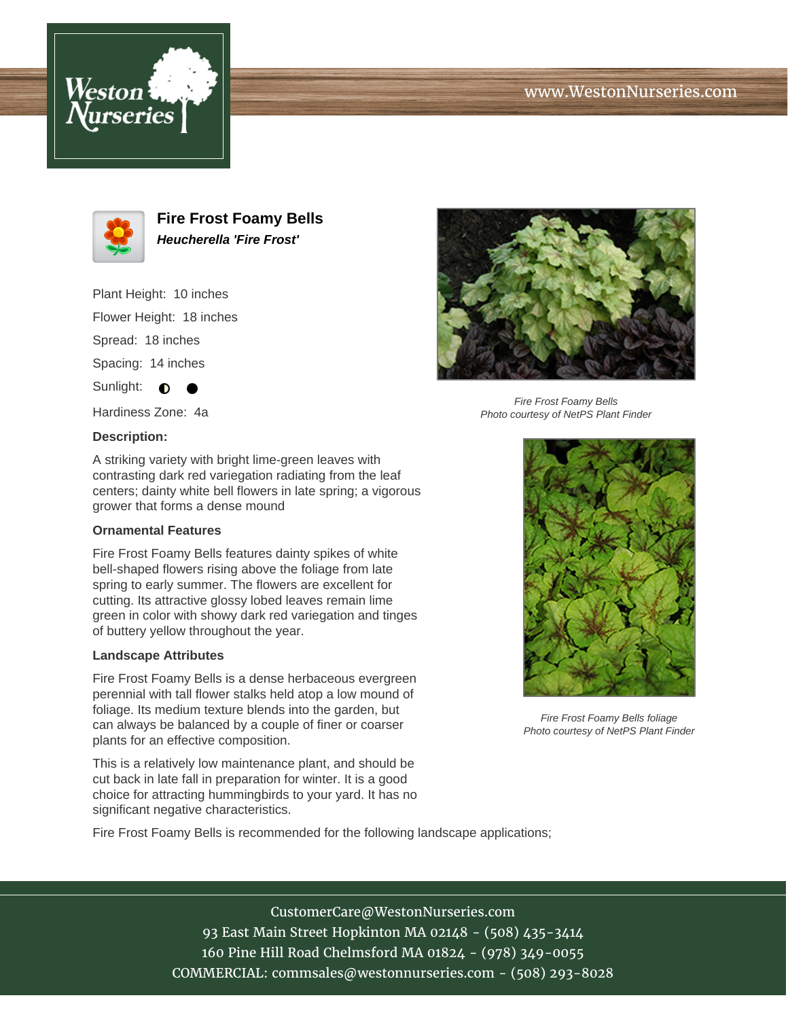





**Fire Frost Foamy Bells Heucherella 'Fire Frost'**

Plant Height: 10 inches Flower Height: 18 inches Spread: 18 inches Spacing: 14 inches Sunlight:  $\bigcirc$ 

Hardiness Zone: 4a

## **Description:**

A striking variety with bright lime-green leaves with contrasting dark red variegation radiating from the leaf centers; dainty white bell flowers in late spring; a vigorous grower that forms a dense mound

## **Ornamental Features**

Fire Frost Foamy Bells features dainty spikes of white bell-shaped flowers rising above the foliage from late spring to early summer. The flowers are excellent for cutting. Its attractive glossy lobed leaves remain lime green in color with showy dark red variegation and tinges of buttery yellow throughout the year.

## **Landscape Attributes**

Fire Frost Foamy Bells is a dense herbaceous evergreen perennial with tall flower stalks held atop a low mound of foliage. Its medium texture blends into the garden, but can always be balanced by a couple of finer or coarser plants for an effective composition.

This is a relatively low maintenance plant, and should be cut back in late fall in preparation for winter. It is a good choice for attracting hummingbirds to your yard. It has no significant negative characteristics.

Fire Frost Foamy Bells is recommended for the following landscape applications;



Fire Frost Foamy Bells Photo courtesy of NetPS Plant Finder



Fire Frost Foamy Bells foliage Photo courtesy of NetPS Plant Finder

CustomerCare@WestonNurseries.com 93 East Main Street Hopkinton MA 02148 - (508) 435-3414 160 Pine Hill Road Chelmsford MA 01824 - (978) 349-0055 COMMERCIAL: commsales@westonnurseries.com - (508) 293-8028